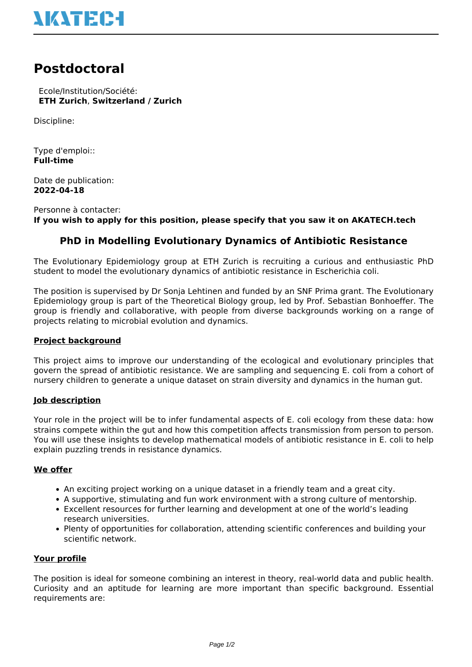

# **Postdoctoral**

 Ecole/Institution/Société: **ETH Zurich**, **Switzerland / Zurich**

Discipline:

Type d'emploi:: **Full-time**

Date de publication: **2022-04-18**

Personne à contacter: **If you wish to apply for this position, please specify that you saw it on AKATECH.tech**

## **PhD in Modelling Evolutionary Dynamics of Antibiotic Resistance**

The Evolutionary Epidemiology group at ETH Zurich is recruiting a curious and enthusiastic PhD student to model the evolutionary dynamics of antibiotic resistance in Escherichia coli.

The position is supervised by Dr Sonja Lehtinen and funded by an SNF Prima grant. The Evolutionary Epidemiology group is part of the Theoretical Biology group, led by Prof. Sebastian Bonhoeffer. The group is friendly and collaborative, with people from diverse backgrounds working on a range of projects relating to microbial evolution and dynamics.

#### **Project background**

This project aims to improve our understanding of the ecological and evolutionary principles that govern the spread of antibiotic resistance. We are sampling and sequencing E. coli from a cohort of nursery children to generate a unique dataset on strain diversity and dynamics in the human gut.

#### **Job description**

Your role in the project will be to infer fundamental aspects of E. coli ecology from these data: how strains compete within the gut and how this competition affects transmission from person to person. You will use these insights to develop mathematical models of antibiotic resistance in E. coli to help explain puzzling trends in resistance dynamics.

#### **We offer**

- An exciting project working on a unique dataset in a friendly team and a great city.
- A supportive, stimulating and fun work environment with a strong culture of mentorship.
- Excellent resources for further learning and development at one of the world's leading research universities.
- Plenty of opportunities for collaboration, attending scientific conferences and building your scientific network.

#### **Your profile**

The position is ideal for someone combining an interest in theory, real-world data and public health. Curiosity and an aptitude for learning are more important than specific background. Essential requirements are: